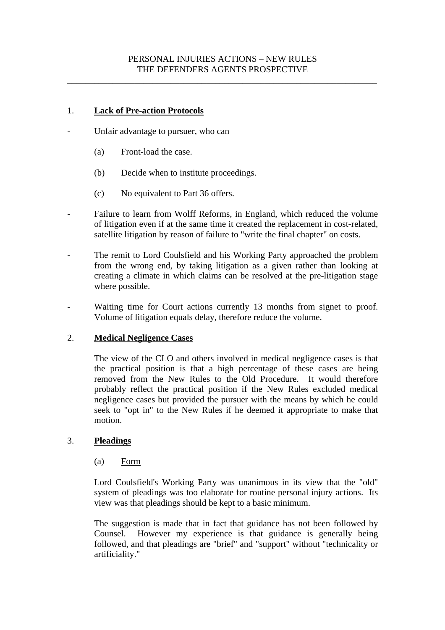## PERSONAL INJURIES ACTIONS – NEW RULES THE DEFENDERS AGENTS PROSPECTIVE

\_\_\_\_\_\_\_\_\_\_\_\_\_\_\_\_\_\_\_\_\_\_\_\_\_\_\_\_\_\_\_\_\_\_\_\_\_\_\_\_\_\_\_\_\_\_\_\_\_\_\_\_\_\_\_\_\_\_\_\_\_\_\_\_\_\_\_\_\_

## 1. **Lack of Pre-action Protocols**

- Unfair advantage to pursuer, who can
	- (a) Front-load the case.
	- (b) Decide when to institute proceedings.
	- (c) No equivalent to Part 36 offers.
- Failure to learn from Wolff Reforms, in England, which reduced the volume of litigation even if at the same time it created the replacement in cost-related, satellite litigation by reason of failure to "write the final chapter" on costs.
- The remit to Lord Coulsfield and his Working Party approached the problem from the wrong end, by taking litigation as a given rather than looking at creating a climate in which claims can be resolved at the pre-litigation stage where possible.
- Waiting time for Court actions currently 13 months from signet to proof. Volume of litigation equals delay, therefore reduce the volume.

#### 2. **Medical Negligence Cases**

The view of the CLO and others involved in medical negligence cases is that the practical position is that a high percentage of these cases are being removed from the New Rules to the Old Procedure. It would therefore probably reflect the practical position if the New Rules excluded medical negligence cases but provided the pursuer with the means by which he could seek to "opt in" to the New Rules if he deemed it appropriate to make that motion.

# 3. **Pleadings**

#### (a) Form

Lord Coulsfield's Working Party was unanimous in its view that the "old" system of pleadings was too elaborate for routine personal injury actions. Its view was that pleadings should be kept to a basic minimum.

The suggestion is made that in fact that guidance has not been followed by Counsel. However my experience is that guidance is generally being followed, and that pleadings are "brief" and "support" without "technicality or artificiality."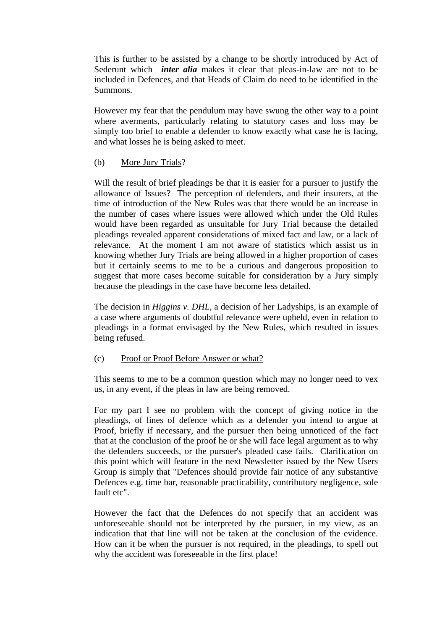This is further to be assisted by a change to be shortly introduced by Act of Sederunt which *inter alia* makes it clear that pleas-in-law are not to be included in Defences, and that Heads of Claim do need to be identified in the Summons.

However my fear that the pendulum may have swung the other way to a point where averments, particularly relating to statutory cases and loss may be simply too brief to enable a defender to know exactly what case he is facing, and what losses he is being asked to meet.

## (b) More Jury Trials?

Will the result of brief pleadings be that it is easier for a pursuer to justify the allowance of Issues? The perception of defenders, and their insurers, at the time of introduction of the New Rules was that there would be an increase in the number of cases where issues were allowed which under the Old Rules would have been regarded as unsuitable for Jury Trial because the detailed pleadings revealed apparent considerations of mixed fact and law, or a lack of relevance. At the moment I am not aware of statistics which assist us in knowing whether Jury Trials are being allowed in a higher proportion of cases but it certainly seems to me to be a curious and dangerous proposition to suggest that more cases become suitable for consideration by a Jury simply because the pleadings in the case have become less detailed.

The decision in *Higgins v. DHL,* a decision of her Ladyships, is an example of a case where arguments of doubtful relevance were upheld, even in relation to pleadings in a format envisaged by the New Rules, which resulted in issues being refused.

#### (c) Proof or Proof Before Answer or what?

This seems to me to be a common question which may no longer need to vex us, in any event, if the pleas in law are being removed.

For my part I see no problem with the concept of giving notice in the pleadings, of lines of defence which as a defender you intend to argue at Proof, briefly if necessary, and the pursuer then being unnoticed of the fact that at the conclusion of the proof he or she will face legal argument as to why the defenders succeeds, or the pursuer's pleaded case fails. Clarification on this point which will feature in the next Newsletter issued by the New Users Group is simply that "Defences should provide fair notice of any substantive Defences e.g. time bar, reasonable practicability, contributory negligence, sole fault etc".

However the fact that the Defences do not specify that an accident was unforeseeable should not be interpreted by the pursuer, in my view, as an indication that that line will not be taken at the conclusion of the evidence. How can it be when the pursuer is not required, in the pleadings, to spell out why the accident was foreseeable in the first place!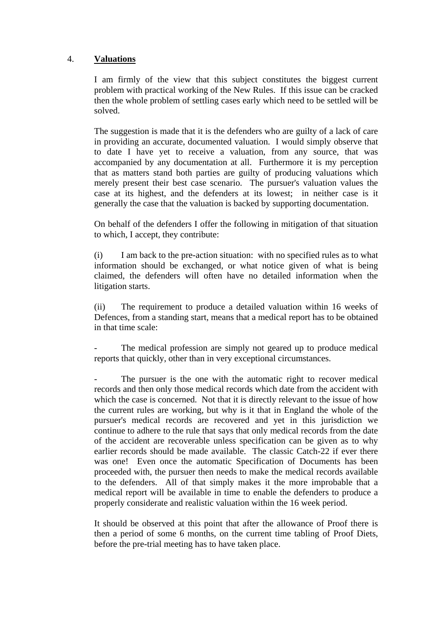## 4. **Valuations**

I am firmly of the view that this subject constitutes the biggest current problem with practical working of the New Rules. If this issue can be cracked then the whole problem of settling cases early which need to be settled will be solved.

The suggestion is made that it is the defenders who are guilty of a lack of care in providing an accurate, documented valuation. I would simply observe that to date I have yet to receive a valuation, from any source, that was accompanied by any documentation at all. Furthermore it is my perception that as matters stand both parties are guilty of producing valuations which merely present their best case scenario. The pursuer's valuation values the case at its highest, and the defenders at its lowest; in neither case is it generally the case that the valuation is backed by supporting documentation.

On behalf of the defenders I offer the following in mitigation of that situation to which, I accept, they contribute:

(i) I am back to the pre-action situation: with no specified rules as to what information should be exchanged, or what notice given of what is being claimed, the defenders will often have no detailed information when the litigation starts.

(ii) The requirement to produce a detailed valuation within 16 weeks of Defences, from a standing start, means that a medical report has to be obtained in that time scale:

The medical profession are simply not geared up to produce medical reports that quickly, other than in very exceptional circumstances.

The pursuer is the one with the automatic right to recover medical records and then only those medical records which date from the accident with which the case is concerned. Not that it is directly relevant to the issue of how the current rules are working, but why is it that in England the whole of the pursuer's medical records are recovered and yet in this jurisdiction we continue to adhere to the rule that says that only medical records from the date of the accident are recoverable unless specification can be given as to why earlier records should be made available. The classic Catch-22 if ever there was one! Even once the automatic Specification of Documents has been proceeded with, the pursuer then needs to make the medical records available to the defenders. All of that simply makes it the more improbable that a medical report will be available in time to enable the defenders to produce a properly considerate and realistic valuation within the 16 week period.

It should be observed at this point that after the allowance of Proof there is then a period of some 6 months, on the current time tabling of Proof Diets, before the pre-trial meeting has to have taken place.